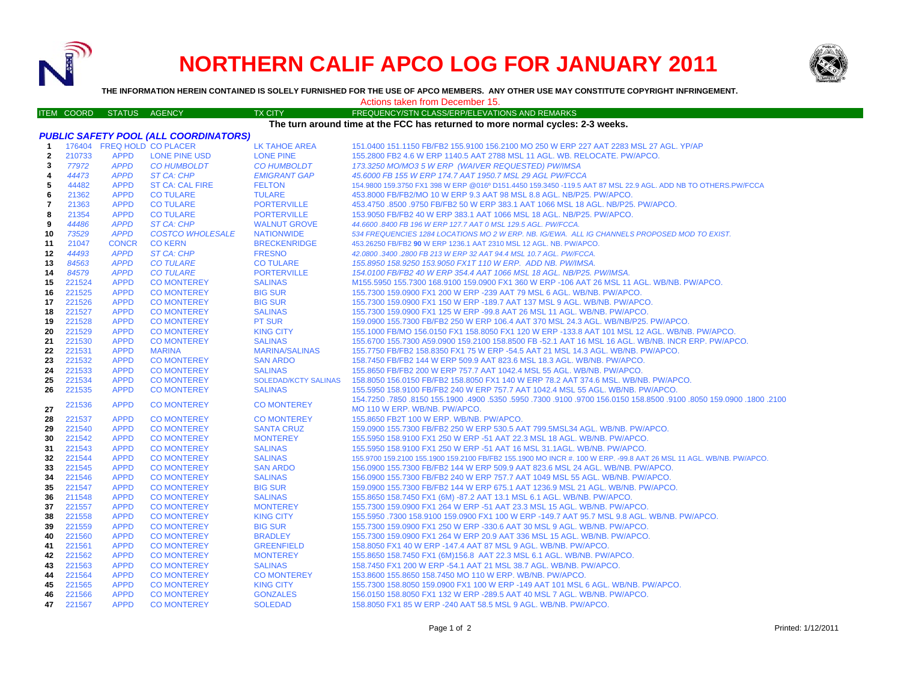

# **NORTHERN CALIF APCO LOG FOR JANUARY 2011**



**THE INFORMATION HEREIN CONTAINED IS SOLELY FURNISHED FOR THE USE OF APCO MEMBERS. ANY OTHER USE MAY CONSTITUTE COPYRIGHT INFRINGEMENT.**

## Actions taken from December 15.

|                         |                                                                                | ITEM COORD STATUS AGENCY |                            | TX CITY                     | FREQUENCY/STN CLASS/ERP/ELEVATIONS AND REMARKS                                                                      |  |  |
|-------------------------|--------------------------------------------------------------------------------|--------------------------|----------------------------|-----------------------------|---------------------------------------------------------------------------------------------------------------------|--|--|
|                         | The turn around time at the FCC has returned to more normal cycles: 2-3 weeks. |                          |                            |                             |                                                                                                                     |  |  |
|                         | <b>PUBLIC SAFETY POOL (ALL COORDINATORS)</b>                                   |                          |                            |                             |                                                                                                                     |  |  |
| -1                      |                                                                                |                          | 176404 FREQ HOLD CO PLACER | <b>LK TAHOE AREA</b>        | 151.0400 151.1150 FB/FB2 155.9100 156.2100 MO 250 W ERP 227 AAT 2283 MSL 27 AGL. YP/AP                              |  |  |
| $\mathbf{2}$            | 210733                                                                         | <b>APPD</b>              | <b>LONE PINE USD</b>       | <b>LONE PINE</b>            | 155.2800 FB2 4.6 W ERP 1140.5 AAT 2788 MSL 11 AGL. WB. RELOCATE. PW/APCO.                                           |  |  |
| 3                       | 77972                                                                          | <b>APPD</b>              | <b>CO HUMBOLDT</b>         | <b>CO HUMBOLDT</b>          | 173.3250 MO/MO3 5 W ERP (WAIVER REQUESTED) PW/IMSA                                                                  |  |  |
| 4                       | 44473                                                                          | <b>APPD</b>              | <b>ST CA: CHP</b>          | <b>EMIGRANT GAP</b>         | 45,6000 FB 155 W ERP 174.7 AAT 1950.7 MSL 29 AGL PW/FCCA                                                            |  |  |
| 5                       | 44482                                                                          | <b>APPD</b>              | <b>ST CA: CAL FIRE</b>     | <b>FELTON</b>               | 154.9800 159.3750 FX1 398 W ERP @016º D151.4450 159.3450 -119.5 AAT 87 MSL 22.9 AGL. ADD NB TO OTHERS.PW/FCCA       |  |  |
| 6                       | 21362                                                                          | <b>APPD</b>              | <b>CO TULARE</b>           | <b>TULARE</b>               | 453.8000 FB/FB2/MO 10 W ERP 9.3 AAT 98 MSL 8.8 AGL. NB/P25. PW/APCO.                                                |  |  |
| $\overline{\mathbf{r}}$ | 21363                                                                          | <b>APPD</b>              | <b>CO TULARE</b>           | <b>PORTERVILLE</b>          | 453.4750 .8500 .9750 FB/FB2 50 W ERP 383.1 AAT 1066 MSL 18 AGL. NB/P25. PW/APCO.                                    |  |  |
| 8                       | 21354                                                                          | <b>APPD</b>              | <b>CO TULARE</b>           | <b>PORTERVILLE</b>          | 153.9050 FB/FB2 40 W ERP 383.1 AAT 1066 MSL 18 AGL. NB/P25. PW/APCO.                                                |  |  |
| 9                       | 44486                                                                          | <b>APPD</b>              | <b>ST CA: CHP</b>          | <b>WALNUT GROVE</b>         | 44.6600 .8400 FB 196 W ERP 127.7 AAT 0 MSL 129.5 AGL. PW/FCCA.                                                      |  |  |
| 10                      | 73529                                                                          | <b>APPD</b>              | <b>COSTCO WHOLESALE</b>    | <b>NATIONWIDE</b>           | 534 FREQUENCIES 1284 LOCATIONS MO 2 W ERP. NB. IG/EWA. ALL IG CHANNELS PROPOSED MOD TO EXIST.                       |  |  |
| 11                      | 21047                                                                          | <b>CONCR</b>             | <b>CO KERN</b>             | <b>BRECKENRIDGE</b>         | 453.26250 FB/FB2 90 W ERP 1236.1 AAT 2310 MSL 12 AGL. NB. PW/APCO.                                                  |  |  |
| 12                      | 44493                                                                          | <b>APPD</b>              | <b>ST CA: CHP</b>          | <b>FRESNO</b>               | 42.0800 .3400 .2800 FB 213 W ERP 32 AAT 94.4 MSL 10.7 AGL. PW/FCCA.                                                 |  |  |
| 13                      | 84563                                                                          | <b>APPD</b>              | <b>CO TULARE</b>           | <b>CO TULARE</b>            | 155.8950 158.9250 153.9050 FX1T 110 W ERP. ADD NB. PW/IMSA.                                                         |  |  |
|                         | 84579                                                                          | <b>APPD</b>              | <b>CO TULARE</b>           | <b>PORTERVILLE</b>          | 154.0100 FB/FB2 40 W ERP 354.4 AAT 1066 MSL 18 AGL. NB/P25. PW/IMSA.                                                |  |  |
| 14<br>15                | 221524                                                                         | <b>APPD</b>              | <b>CO MONTEREY</b>         | <b>SALINAS</b>              | M155.5950 155.7300 168.9100 159.0900 FX1 360 W ERP -106 AAT 26 MSL 11 AGL. WB/NB. PW/APCO.                          |  |  |
|                         | 221525                                                                         | <b>APPD</b>              | <b>CO MONTEREY</b>         | <b>BIG SUR</b>              |                                                                                                                     |  |  |
| 16                      | 221526                                                                         | <b>APPD</b>              |                            |                             | 155.7300 159.0900 FX1 200 W ERP -239 AAT 79 MSL 6 AGL. WB/NB. PW/APCO.                                              |  |  |
| 17                      |                                                                                |                          | <b>CO MONTEREY</b>         | <b>BIG SUR</b>              | 155.7300 159.0900 FX1 150 W ERP -189.7 AAT 137 MSL 9 AGL. WB/NB. PW/APCO.                                           |  |  |
| 18                      | 221527                                                                         | <b>APPD</b>              | <b>CO MONTEREY</b>         | <b>SALINAS</b>              | 155.7300 159.0900 FX1 125 W ERP -99.8 AAT 26 MSL 11 AGL. WB/NB. PW/APCO.                                            |  |  |
| 19                      | 221528                                                                         | <b>APPD</b>              | <b>CO MONTEREY</b>         | <b>PT SUR</b>               | 159.0900 155.7300 FB/FB2 250 W ERP 106.4 AAT 370 MSL 24.3 AGL. WB/NB/P25. PW/APCO.                                  |  |  |
| 20                      | 221529                                                                         | <b>APPD</b>              | <b>CO MONTEREY</b>         | <b>KING CITY</b>            | 155.1000 FB/MO 156.0150 FX1 158.8050 FX1 120 W ERP -133.8 AAT 101 MSL 12 AGL. WB/NB. PW/APCO.                       |  |  |
| 21                      | 221530                                                                         | <b>APPD</b>              | <b>CO MONTEREY</b>         | <b>SALINAS</b>              | 155.6700 155.7300 A59.0900 159.2100 158.8500 FB -52.1 AAT 16 MSL 16 AGL. WB/NB. INCR ERP. PW/APCO.                  |  |  |
| 22                      | 221531                                                                         | <b>APPD</b>              | <b>MARINA</b>              | <b>MARINA/SALINAS</b>       | 155.7750 FB/FB2 158.8350 FX1 75 W ERP -54.5 AAT 21 MSL 14.3 AGL. WB/NB. PW/APCO.                                    |  |  |
| 23                      | 221532                                                                         | <b>APPD</b>              | <b>CO MONTEREY</b>         | <b>SAN ARDO</b>             | 158.7450 FB/FB2 144 W ERP 509.9 AAT 823.6 MSL 18.3 AGL, WB/NB, PW/APCO,                                             |  |  |
| 24                      | 221533                                                                         | <b>APPD</b>              | <b>CO MONTEREY</b>         | <b>SALINAS</b>              | 155.8650 FB/FB2 200 W ERP 757.7 AAT 1042.4 MSL 55 AGL. WB/NB. PW/APCO.                                              |  |  |
| 25                      | 221534                                                                         | <b>APPD</b>              | <b>CO MONTEREY</b>         | <b>SOLEDAD/KCTY SALINAS</b> | 158.8050 156.0150 FB/FB2 158.8050 FX1 140 W ERP 78.2 AAT 374.6 MSL. WB/NB. PW/APCO.                                 |  |  |
| 26                      | 221535                                                                         | <b>APPD</b>              | <b>CO MONTEREY</b>         | <b>SALINAS</b>              | 155,5950 158,9100 FB/FB2 240 W ERP 757.7 AAT 1042.4 MSL 55 AGL, WB/NB, PW/APCO,                                     |  |  |
|                         | 221536                                                                         | <b>APPD</b>              | <b>CO MONTEREY</b>         | <b>CO MONTEREY</b>          | 1002. 1800. 1900.800 159.0900. 19100. 158.8500 158.850 19700. 1009. 159.0900. 159.0900. 159.1900 159.0900. 154.7250 |  |  |
| 27                      |                                                                                |                          |                            |                             | MO 110 W ERP. WB/NB. PW/APCO.                                                                                       |  |  |
| 28                      | 221537                                                                         | <b>APPD</b>              | <b>CO MONTEREY</b>         | <b>CO MONTEREY</b>          | 155.8650 FB2T 100 W ERP. WB/NB. PW/APCO.                                                                            |  |  |
| 29                      | 221540                                                                         | <b>APPD</b>              | <b>CO MONTEREY</b>         | <b>SANTA CRUZ</b>           | 159.0900 155.7300 FB/FB2 250 W ERP 530.5 AAT 799.5MSL34 AGL. WB/NB. PW/APCO.                                        |  |  |
| 30                      | 221542                                                                         | <b>APPD</b>              | <b>CO MONTEREY</b>         | <b>MONTEREY</b>             | 155.5950 158.9100 FX1 250 W ERP -51 AAT 22.3 MSL 18 AGL. WB/NB. PW/APCO.                                            |  |  |
| 31                      | 221543                                                                         | <b>APPD</b>              | <b>CO MONTEREY</b>         | <b>SALINAS</b>              | 155.5950 158.9100 FX1 250 W ERP -51 AAT 16 MSL 31.1AGL. WB/NB. PW/APCO.                                             |  |  |
| 32                      | 221544                                                                         | <b>APPD</b>              | <b>CO MONTEREY</b>         | <b>SALINAS</b>              | 155.9700 159.2100 155.1900 159.2100 FB/FB2 155.1900 MO INCR #. 100 W ERP. -99.8 AAT 26 MSL 11 AGL. WB/NB. PW/APCO.  |  |  |
| 33                      | 221545                                                                         | <b>APPD</b>              | <b>CO MONTEREY</b>         | <b>SAN ARDO</b>             | 156.0900 155.7300 FB/FB2 144 W ERP 509.9 AAT 823.6 MSL 24 AGL. WB/NB. PW/APCO.                                      |  |  |
| 34                      | 221546                                                                         | <b>APPD</b>              | <b>CO MONTEREY</b>         | <b>SALINAS</b>              | 156.0900 155.7300 FB/FB2 240 W ERP 757.7 AAT 1049 MSL 55 AGL. WB/NB. PW/APCO.                                       |  |  |
| 35                      | 221547                                                                         | <b>APPD</b>              | <b>CO MONTEREY</b>         | <b>BIG SUR</b>              | 159.0900 155.7300 FB/FB2 144 W ERP 675.1 AAT 1236.9 MSL 21 AGL. WB/NB. PW/APCO.                                     |  |  |
| 36                      | 211548                                                                         | <b>APPD</b>              | <b>CO MONTEREY</b>         | <b>SALINAS</b>              | 155.8650 158.7450 FX1 (6M) -87.2 AAT 13.1 MSL 6.1 AGL. WB/NB. PW/APCO.                                              |  |  |
| 37                      | 221557                                                                         | <b>APPD</b>              | <b>CO MONTEREY</b>         | <b>MONTEREY</b>             | 155.7300 159.0900 FX1 264 W ERP -51 AAT 23.3 MSL 15 AGL. WB/NB. PW/APCO.                                            |  |  |
| 38                      | 221558                                                                         | <b>APPD</b>              | <b>CO MONTEREY</b>         | <b>KING CITY</b>            | 155.5950 .7300 158.9100 159.0900 FX1 100 W ERP -149.7 AAT 95.7 MSL 9.8 AGL. WB/NB. PW/APCO.                         |  |  |
| 39                      | 221559                                                                         | <b>APPD</b>              | <b>CO MONTEREY</b>         | <b>BIG SUR</b>              | 155,7300 159,0900 FX1 250 W ERP -330.6 AAT 30 MSL 9 AGL, WB/NB, PW/APCO,                                            |  |  |
| 40                      | 221560                                                                         | <b>APPD</b>              | <b>CO MONTEREY</b>         | <b>BRADLEY</b>              | 155.7300 159.0900 FX1 264 W ERP 20.9 AAT 336 MSL 15 AGL. WB/NB. PW/APCO.                                            |  |  |
| 41                      | 221561                                                                         | <b>APPD</b>              | <b>CO MONTEREY</b>         | <b>GREENFIELD</b>           | 158.8050 FX1 40 W ERP -147.4 AAT 87 MSL 9 AGL. WB/NB. PW/APCO.                                                      |  |  |
| 42                      | 221562                                                                         | <b>APPD</b>              | <b>CO MONTEREY</b>         | <b>MONTEREY</b>             | 155.8650 158.7450 FX1 (6M)156.8 AAT 22.3 MSL 6.1 AGL. WB/NB. PW/APCO.                                               |  |  |
| 43                      | 221563                                                                         | <b>APPD</b>              | <b>CO MONTEREY</b>         | <b>SALINAS</b>              | 158.7450 FX1 200 W ERP -54.1 AAT 21 MSL 38.7 AGL. WB/NB. PW/APCO.                                                   |  |  |
| 44                      | 221564                                                                         | <b>APPD</b>              | <b>CO MONTEREY</b>         | <b>CO MONTEREY</b>          | 153.8600 155.8650 158.7450 MO 110 W ERP. WB/NB. PW/APCO.                                                            |  |  |
| 45                      | 221565                                                                         | <b>APPD</b>              | <b>CO MONTEREY</b>         | <b>KING CITY</b>            | 155.7300 158.8050 159.0900 FX1 100 W ERP -149 AAT 101 MSL 6 AGL. WB/NB. PW/APCO.                                    |  |  |
| 46                      | 221566                                                                         | <b>APPD</b>              | <b>CO MONTEREY</b>         | <b>GONZALES</b>             | 156.0150 158.8050 FX1 132 W ERP -289.5 AAT 40 MSL 7 AGL. WB/NB. PW/APCO.                                            |  |  |
| 47                      | 221567                                                                         | <b>APPD</b>              | <b>CO MONTEREY</b>         | <b>SOLEDAD</b>              | 158.8050 FX1 85 W ERP -240 AAT 58.5 MSL 9 AGL. WB/NB. PW/APCO.                                                      |  |  |